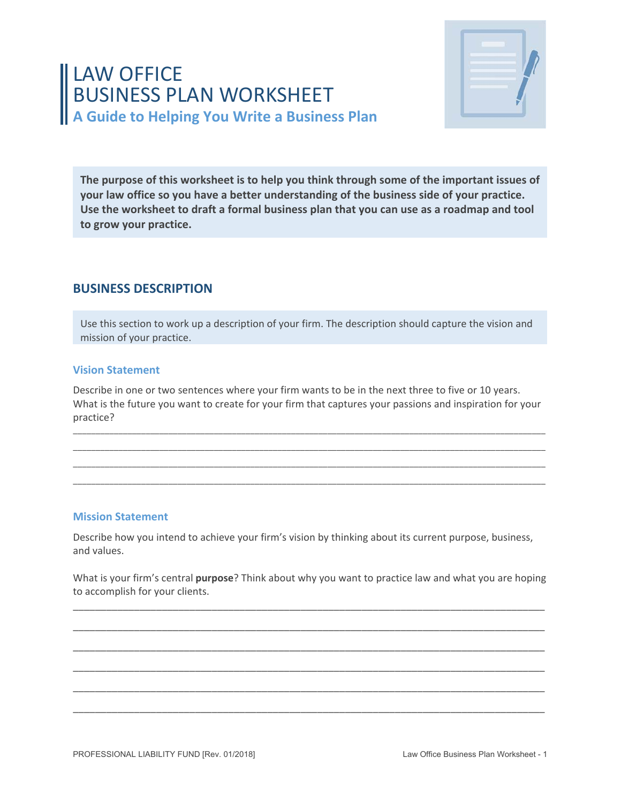# LAW OFFICE BUSINESS PLAN WORKSHEET **A Guide to Helping You Write a Business Plan**



**The purpose of this worksheet is to help you think through some of the important issues of your law office so you have a better understanding of the business side of your practice. Use the worksheet to draft a formal business plan that you can use as a roadmap and tool to grow your practice.** 

## **BUSINESS DESCRIPTION**

Use this section to work up a description of your firm. The description should capture the vision and mission of your practice.

#### **Vision Statement**

Describe in one or two sentences where your firm wants to be in the next three to five or 10 years. What is the future you want to create for your firm that captures your passions and inspiration for your practice?

\_\_\_\_\_\_\_\_\_\_\_\_\_\_\_\_\_\_\_\_\_\_\_\_\_\_\_\_\_\_\_\_\_\_\_\_\_\_\_\_\_\_\_\_\_\_\_\_\_\_\_\_\_\_\_\_\_\_\_\_\_\_\_\_\_\_\_\_\_\_\_\_\_\_\_\_\_\_\_\_\_\_\_\_\_\_\_\_\_\_\_\_\_\_\_\_\_\_\_\_\_\_\_\_ \_\_\_\_\_\_\_\_\_\_\_\_\_\_\_\_\_\_\_\_\_\_\_\_\_\_\_\_\_\_\_\_\_\_\_\_\_\_\_\_\_\_\_\_\_\_\_\_\_\_\_\_\_\_\_\_\_\_\_\_\_\_\_\_\_\_\_\_\_\_\_\_\_\_\_\_\_\_\_\_\_\_\_\_\_\_\_\_\_\_\_\_\_\_\_\_\_\_\_\_\_\_\_\_ \_\_\_\_\_\_\_\_\_\_\_\_\_\_\_\_\_\_\_\_\_\_\_\_\_\_\_\_\_\_\_\_\_\_\_\_\_\_\_\_\_\_\_\_\_\_\_\_\_\_\_\_\_\_\_\_\_\_\_\_\_\_\_\_\_\_\_\_\_\_\_\_\_\_\_\_\_\_\_\_\_\_\_\_\_\_\_\_\_\_\_\_\_\_\_\_\_\_\_\_\_\_\_\_ \_\_\_\_\_\_\_\_\_\_\_\_\_\_\_\_\_\_\_\_\_\_\_\_\_\_\_\_\_\_\_\_\_\_\_\_\_\_\_\_\_\_\_\_\_\_\_\_\_\_\_\_\_\_\_\_\_\_\_\_\_\_\_\_\_\_\_\_\_\_\_\_\_\_\_\_\_\_\_\_\_\_\_\_\_\_\_\_\_\_\_\_\_\_\_\_\_\_\_\_\_\_\_\_

#### **Mission Statement**

Describe how you intend to achieve your firm's vision by thinking about its current purpose, business, and values.

What is your firm's central **purpose**? Think about why you want to practice law and what you are hoping to accomplish for your clients.

\_\_\_\_\_\_\_\_\_\_\_\_\_\_\_\_\_\_\_\_\_\_\_\_\_\_\_\_\_\_\_\_\_\_\_\_\_\_\_\_\_\_\_\_\_\_\_\_\_\_\_\_\_\_\_\_\_\_\_\_\_\_\_\_\_\_\_\_\_\_\_\_\_\_\_\_\_\_\_\_\_\_\_\_\_

\_\_\_\_\_\_\_\_\_\_\_\_\_\_\_\_\_\_\_\_\_\_\_\_\_\_\_\_\_\_\_\_\_\_\_\_\_\_\_\_\_\_\_\_\_\_\_\_\_\_\_\_\_\_\_\_\_\_\_\_\_\_\_\_\_\_\_\_\_\_\_\_\_\_\_\_\_\_\_\_\_\_\_\_\_

\_\_\_\_\_\_\_\_\_\_\_\_\_\_\_\_\_\_\_\_\_\_\_\_\_\_\_\_\_\_\_\_\_\_\_\_\_\_\_\_\_\_\_\_\_\_\_\_\_\_\_\_\_\_\_\_\_\_\_\_\_\_\_\_\_\_\_\_\_\_\_\_\_\_\_\_\_\_\_\_\_\_\_\_\_

\_\_\_\_\_\_\_\_\_\_\_\_\_\_\_\_\_\_\_\_\_\_\_\_\_\_\_\_\_\_\_\_\_\_\_\_\_\_\_\_\_\_\_\_\_\_\_\_\_\_\_\_\_\_\_\_\_\_\_\_\_\_\_\_\_\_\_\_\_\_\_\_\_\_\_\_\_\_\_\_\_\_\_\_\_

\_\_\_\_\_\_\_\_\_\_\_\_\_\_\_\_\_\_\_\_\_\_\_\_\_\_\_\_\_\_\_\_\_\_\_\_\_\_\_\_\_\_\_\_\_\_\_\_\_\_\_\_\_\_\_\_\_\_\_\_\_\_\_\_\_\_\_\_\_\_\_\_\_\_\_\_\_\_\_\_\_\_\_\_\_

\_\_\_\_\_\_\_\_\_\_\_\_\_\_\_\_\_\_\_\_\_\_\_\_\_\_\_\_\_\_\_\_\_\_\_\_\_\_\_\_\_\_\_\_\_\_\_\_\_\_\_\_\_\_\_\_\_\_\_\_\_\_\_\_\_\_\_\_\_\_\_\_\_\_\_\_\_\_\_\_\_\_\_\_\_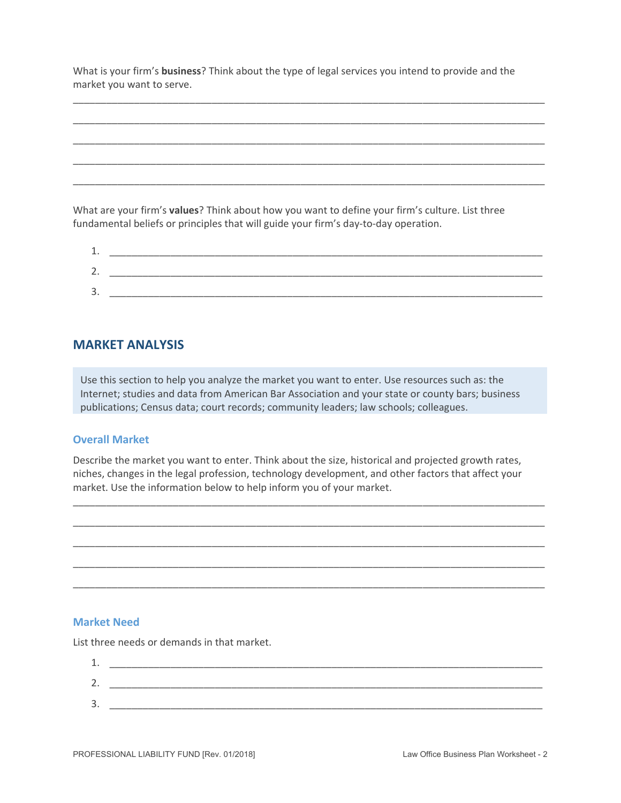What is your firm's **business**? Think about the type of legal services you intend to provide and the market you want to serve.

\_\_\_\_\_\_\_\_\_\_\_\_\_\_\_\_\_\_\_\_\_\_\_\_\_\_\_\_\_\_\_\_\_\_\_\_\_\_\_\_\_\_\_\_\_\_\_\_\_\_\_\_\_\_\_\_\_\_\_\_\_\_\_\_\_\_\_\_\_\_\_\_\_\_\_\_\_\_\_\_\_\_\_\_\_

\_\_\_\_\_\_\_\_\_\_\_\_\_\_\_\_\_\_\_\_\_\_\_\_\_\_\_\_\_\_\_\_\_\_\_\_\_\_\_\_\_\_\_\_\_\_\_\_\_\_\_\_\_\_\_\_\_\_\_\_\_\_\_\_\_\_\_\_\_\_\_\_\_\_\_\_\_\_\_\_\_\_\_\_\_

\_\_\_\_\_\_\_\_\_\_\_\_\_\_\_\_\_\_\_\_\_\_\_\_\_\_\_\_\_\_\_\_\_\_\_\_\_\_\_\_\_\_\_\_\_\_\_\_\_\_\_\_\_\_\_\_\_\_\_\_\_\_\_\_\_\_\_\_\_\_\_\_\_\_\_\_\_\_\_\_\_\_\_\_\_

\_\_\_\_\_\_\_\_\_\_\_\_\_\_\_\_\_\_\_\_\_\_\_\_\_\_\_\_\_\_\_\_\_\_\_\_\_\_\_\_\_\_\_\_\_\_\_\_\_\_\_\_\_\_\_\_\_\_\_\_\_\_\_\_\_\_\_\_\_\_\_\_\_\_\_\_\_\_\_\_\_\_\_\_\_

\_\_\_\_\_\_\_\_\_\_\_\_\_\_\_\_\_\_\_\_\_\_\_\_\_\_\_\_\_\_\_\_\_\_\_\_\_\_\_\_\_\_\_\_\_\_\_\_\_\_\_\_\_\_\_\_\_\_\_\_\_\_\_\_\_\_\_\_\_\_\_\_\_\_\_\_\_\_\_\_\_\_\_\_\_

What are your firm's **values**? Think about how you want to define your firm's culture. List three fundamental beliefs or principles that will guide your firm's day‐to‐day operation.

| <u>.</u> . |  |
|------------|--|
| e<br>٠     |  |
| 灬<br>J.    |  |

## **MARKET ANALYSIS**

Use this section to help you analyze the market you want to enter. Use resources such as: the Internet; studies and data from American Bar Association and your state or county bars; business publications; Census data; court records; community leaders; law schools; colleagues.

#### **Overall Market**

Describe the market you want to enter. Think about the size, historical and projected growth rates, niches, changes in the legal profession, technology development, and other factors that affect your market. Use the information below to help inform you of your market.

\_\_\_\_\_\_\_\_\_\_\_\_\_\_\_\_\_\_\_\_\_\_\_\_\_\_\_\_\_\_\_\_\_\_\_\_\_\_\_\_\_\_\_\_\_\_\_\_\_\_\_\_\_\_\_\_\_\_\_\_\_\_\_\_\_\_\_\_\_\_\_\_\_\_\_\_\_\_\_\_\_\_\_\_\_

\_\_\_\_\_\_\_\_\_\_\_\_\_\_\_\_\_\_\_\_\_\_\_\_\_\_\_\_\_\_\_\_\_\_\_\_\_\_\_\_\_\_\_\_\_\_\_\_\_\_\_\_\_\_\_\_\_\_\_\_\_\_\_\_\_\_\_\_\_\_\_\_\_\_\_\_\_\_\_\_\_\_\_\_\_

\_\_\_\_\_\_\_\_\_\_\_\_\_\_\_\_\_\_\_\_\_\_\_\_\_\_\_\_\_\_\_\_\_\_\_\_\_\_\_\_\_\_\_\_\_\_\_\_\_\_\_\_\_\_\_\_\_\_\_\_\_\_\_\_\_\_\_\_\_\_\_\_\_\_\_\_\_\_\_\_\_\_\_\_\_

\_\_\_\_\_\_\_\_\_\_\_\_\_\_\_\_\_\_\_\_\_\_\_\_\_\_\_\_\_\_\_\_\_\_\_\_\_\_\_\_\_\_\_\_\_\_\_\_\_\_\_\_\_\_\_\_\_\_\_\_\_\_\_\_\_\_\_\_\_\_\_\_\_\_\_\_\_\_\_\_\_\_\_\_\_

\_\_\_\_\_\_\_\_\_\_\_\_\_\_\_\_\_\_\_\_\_\_\_\_\_\_\_\_\_\_\_\_\_\_\_\_\_\_\_\_\_\_\_\_\_\_\_\_\_\_\_\_\_\_\_\_\_\_\_\_\_\_\_\_\_\_\_\_\_\_\_\_\_\_\_\_\_\_\_\_\_\_\_\_\_

#### **Market Need**

List three needs or demands in that market.

| <u>_</u>      |  |
|---------------|--|
| <u>.</u>      |  |
| e<br><u>.</u> |  |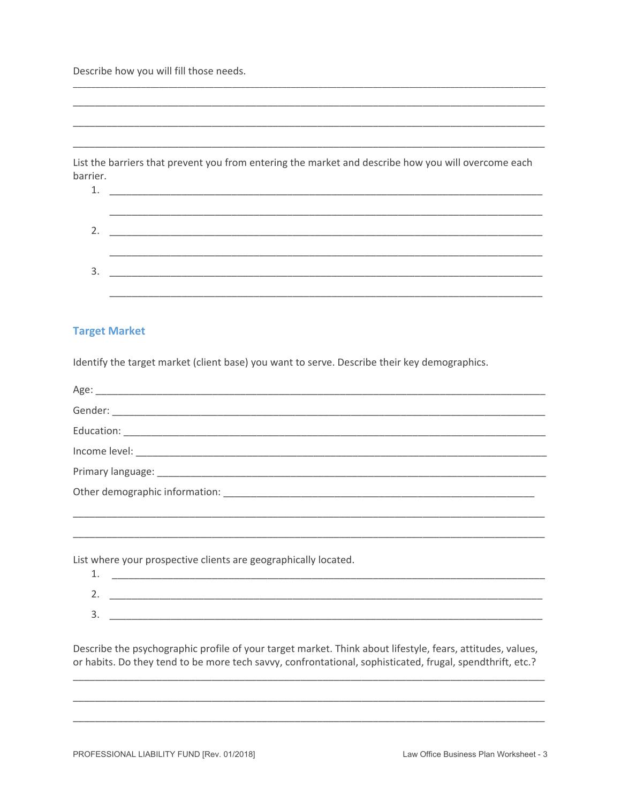Describe how you will fill those needs.

List the barriers that prevent you from entering the market and describe how you will overcome each barrier.

#### **Target Market**

Identify the target market (client base) you want to serve. Describe their key demographics.

List where your prospective clients are geographically located.

| -           |  |
|-------------|--|
| <u>.</u>    |  |
| -<br>٠<br>ັ |  |

Describe the psychographic profile of your target market. Think about lifestyle, fears, attitudes, values, or habits. Do they tend to be more tech savvy, confrontational, sophisticated, frugal, spendthrift, etc.?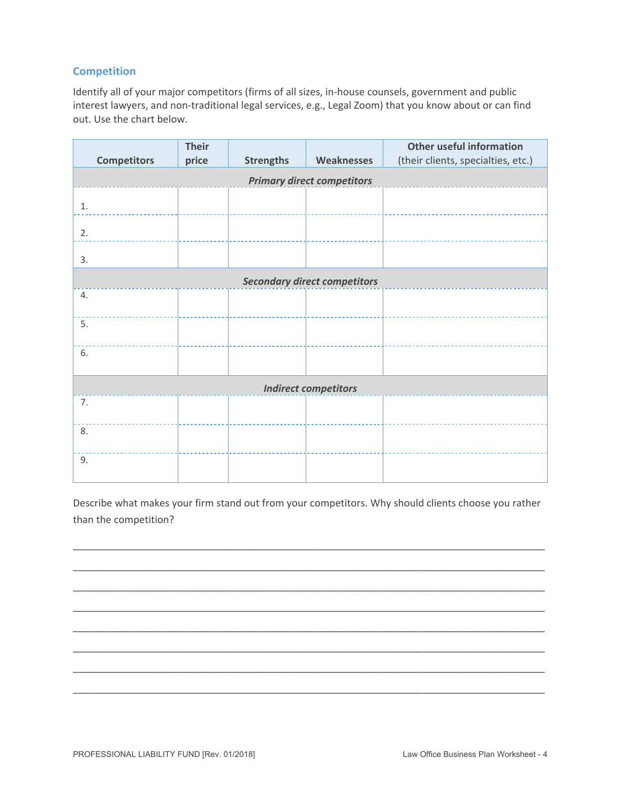## **Competition**

Identify all of your major competitors (firms of all sizes, in‐house counsels, government and public interest lawyers, and non-traditional legal services, e.g., Legal Zoom) that you know about or can find out. Use the chart below.

|                                   | <b>Their</b> |                  |                                     | <b>Other useful information</b>    |  |  |  |  |
|-----------------------------------|--------------|------------------|-------------------------------------|------------------------------------|--|--|--|--|
| <b>Competitors</b>                | price        | <b>Strengths</b> | <b>Weaknesses</b>                   | (their clients, specialties, etc.) |  |  |  |  |
| <b>Primary direct competitors</b> |              |                  |                                     |                                    |  |  |  |  |
| 1.                                |              |                  |                                     |                                    |  |  |  |  |
| 2.                                |              |                  |                                     |                                    |  |  |  |  |
| 3.                                |              |                  |                                     |                                    |  |  |  |  |
|                                   |              |                  | <b>Secondary direct competitors</b> |                                    |  |  |  |  |
| 4.                                |              |                  |                                     |                                    |  |  |  |  |
| 5.                                |              |                  |                                     |                                    |  |  |  |  |
| 6.                                |              |                  |                                     |                                    |  |  |  |  |
|                                   |              |                  | <b>Indirect competitors</b>         |                                    |  |  |  |  |
| 7.                                |              |                  |                                     |                                    |  |  |  |  |
| 8.                                |              |                  |                                     |                                    |  |  |  |  |
| 9.                                |              |                  |                                     |                                    |  |  |  |  |

Describe what makes your firm stand out from your competitors. Why should clients choose you rather than the competition?

\_\_\_\_\_\_\_\_\_\_\_\_\_\_\_\_\_\_\_\_\_\_\_\_\_\_\_\_\_\_\_\_\_\_\_\_\_\_\_\_\_\_\_\_\_\_\_\_\_\_\_\_\_\_\_\_\_\_\_\_\_\_\_\_\_\_\_\_\_\_\_\_\_\_\_\_\_\_\_\_\_\_\_\_\_

\_\_\_\_\_\_\_\_\_\_\_\_\_\_\_\_\_\_\_\_\_\_\_\_\_\_\_\_\_\_\_\_\_\_\_\_\_\_\_\_\_\_\_\_\_\_\_\_\_\_\_\_\_\_\_\_\_\_\_\_\_\_\_\_\_\_\_\_\_\_\_\_\_\_\_\_\_\_\_\_\_\_\_\_\_

\_\_\_\_\_\_\_\_\_\_\_\_\_\_\_\_\_\_\_\_\_\_\_\_\_\_\_\_\_\_\_\_\_\_\_\_\_\_\_\_\_\_\_\_\_\_\_\_\_\_\_\_\_\_\_\_\_\_\_\_\_\_\_\_\_\_\_\_\_\_\_\_\_\_\_\_\_\_\_\_\_\_\_\_\_

\_\_\_\_\_\_\_\_\_\_\_\_\_\_\_\_\_\_\_\_\_\_\_\_\_\_\_\_\_\_\_\_\_\_\_\_\_\_\_\_\_\_\_\_\_\_\_\_\_\_\_\_\_\_\_\_\_\_\_\_\_\_\_\_\_\_\_\_\_\_\_\_\_\_\_\_\_\_\_\_\_\_\_\_\_

\_\_\_\_\_\_\_\_\_\_\_\_\_\_\_\_\_\_\_\_\_\_\_\_\_\_\_\_\_\_\_\_\_\_\_\_\_\_\_\_\_\_\_\_\_\_\_\_\_\_\_\_\_\_\_\_\_\_\_\_\_\_\_\_\_\_\_\_\_\_\_\_\_\_\_\_\_\_\_\_\_\_\_\_\_

\_\_\_\_\_\_\_\_\_\_\_\_\_\_\_\_\_\_\_\_\_\_\_\_\_\_\_\_\_\_\_\_\_\_\_\_\_\_\_\_\_\_\_\_\_\_\_\_\_\_\_\_\_\_\_\_\_\_\_\_\_\_\_\_\_\_\_\_\_\_\_\_\_\_\_\_\_\_\_\_\_\_\_\_\_

\_\_\_\_\_\_\_\_\_\_\_\_\_\_\_\_\_\_\_\_\_\_\_\_\_\_\_\_\_\_\_\_\_\_\_\_\_\_\_\_\_\_\_\_\_\_\_\_\_\_\_\_\_\_\_\_\_\_\_\_\_\_\_\_\_\_\_\_\_\_\_\_\_\_\_\_\_\_\_\_\_\_\_\_\_

\_\_\_\_\_\_\_\_\_\_\_\_\_\_\_\_\_\_\_\_\_\_\_\_\_\_\_\_\_\_\_\_\_\_\_\_\_\_\_\_\_\_\_\_\_\_\_\_\_\_\_\_\_\_\_\_\_\_\_\_\_\_\_\_\_\_\_\_\_\_\_\_\_\_\_\_\_\_\_\_\_\_\_\_\_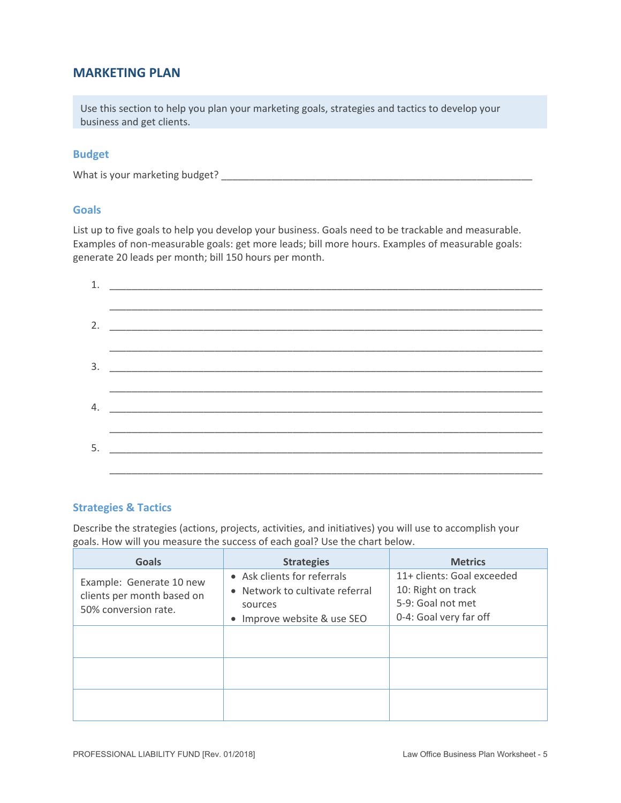## **MARKETING PLAN**

Use this section to help you plan your marketing goals, strategies and tactics to develop your business and get clients.

#### **Budget**

What is your marketing budget? \_\_\_\_\_\_\_\_\_\_\_\_\_\_\_\_\_\_\_\_\_\_\_\_\_\_\_\_\_\_\_\_\_\_\_\_\_\_\_\_\_\_\_\_\_\_\_\_\_\_\_\_\_\_\_\_

#### **Goals**

List up to five goals to help you develop your business. Goals need to be trackable and measurable. Examples of non-measurable goals: get more leads; bill more hours. Examples of measurable goals: generate 20 leads per month; bill 150 hours per month.

| 5. |  |
|----|--|

#### **Strategies & Tactics**

Describe the strategies (actions, projects, activities, and initiatives) you will use to accomplish your goals. How will you measure the success of each goal? Use the chart below.

| <b>Goals</b>                                                                   | <b>Strategies</b>                                                                                        | <b>Metrics</b>                                                                                  |
|--------------------------------------------------------------------------------|----------------------------------------------------------------------------------------------------------|-------------------------------------------------------------------------------------------------|
| Example: Generate 10 new<br>clients per month based on<br>50% conversion rate. | • Ask clients for referrals<br>• Network to cultivate referral<br>sources<br>• Improve website & use SEO | 11+ clients: Goal exceeded<br>10: Right on track<br>5-9: Goal not met<br>0-4: Goal very far off |
|                                                                                |                                                                                                          |                                                                                                 |
|                                                                                |                                                                                                          |                                                                                                 |
|                                                                                |                                                                                                          |                                                                                                 |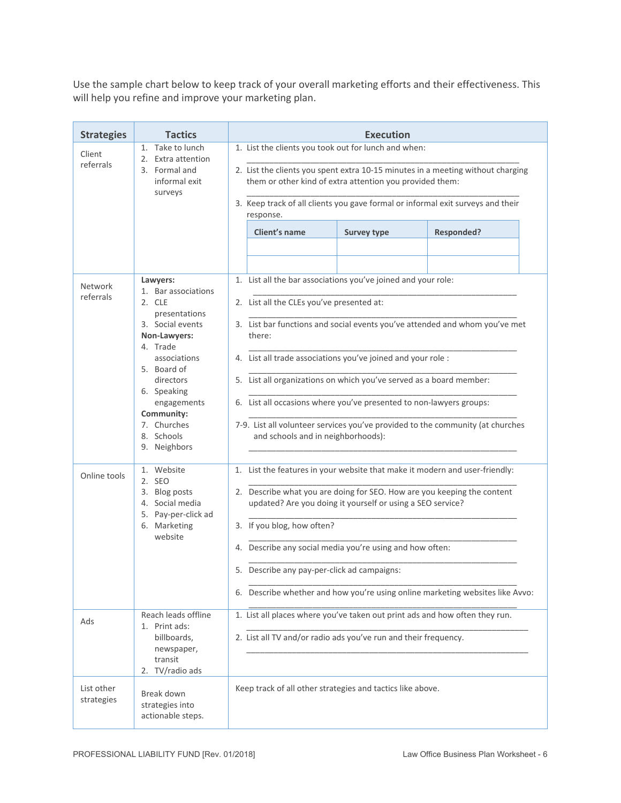Use the sample chart below to keep track of your overall marketing efforts and their effectiveness. This will help you refine and improve your marketing plan.

| <b>Strategies</b>           | <b>Tactics</b>                                                                                                                                                                                                                                  | <b>Execution</b>                                                                                                                                                                                                                                                                                                                                                                                                                                                                                                                          |  |  |  |  |
|-----------------------------|-------------------------------------------------------------------------------------------------------------------------------------------------------------------------------------------------------------------------------------------------|-------------------------------------------------------------------------------------------------------------------------------------------------------------------------------------------------------------------------------------------------------------------------------------------------------------------------------------------------------------------------------------------------------------------------------------------------------------------------------------------------------------------------------------------|--|--|--|--|
| Client<br>referrals         | 1. Take to lunch<br>2. Extra attention<br>3. Formal and<br>informal exit<br>surveys                                                                                                                                                             | 1. List the clients you took out for lunch and when:<br>2. List the clients you spent extra 10-15 minutes in a meeting without charging<br>them or other kind of extra attention you provided them:<br>3. Keep track of all clients you gave formal or informal exit surveys and their<br>response.<br>Client's name<br><b>Responded?</b><br><b>Survey type</b>                                                                                                                                                                           |  |  |  |  |
| <b>Network</b><br>referrals | Lawyers:<br>1. Bar associations<br>2. CLE<br>presentations<br>3. Social events<br>Non-Lawyers:<br>4. Trade<br>associations<br>5. Board of<br>directors<br>6. Speaking<br>engagements<br>Community:<br>7. Churches<br>8. Schools<br>9. Neighbors | 1. List all the bar associations you've joined and your role:<br>2. List all the CLEs you've presented at:<br>3. List bar functions and social events you've attended and whom you've met<br>there:<br>4. List all trade associations you've joined and your role :<br>5. List all organizations on which you've served as a board member:<br>6. List all occasions where you've presented to non-lawyers groups:<br>7-9. List all volunteer services you've provided to the community (at churches<br>and schools and in neighborhoods): |  |  |  |  |
| Online tools                | 1. Website<br>2. SEO<br>3. Blog posts<br>4. Social media<br>5. Pay-per-click ad<br>6. Marketing<br>website                                                                                                                                      | 1. List the features in your website that make it modern and user-friendly:<br>2. Describe what you are doing for SEO. How are you keeping the content<br>updated? Are you doing it yourself or using a SEO service?<br>3. If you blog, how often?<br>4. Describe any social media you're using and how often:<br>5. Describe any pay-per-click ad campaigns:<br>6. Describe whether and how you're using online marketing websites like Avvo:                                                                                            |  |  |  |  |
| Ads                         | Reach leads offline<br>1. Print ads:<br>billboards,<br>newspaper,<br>transit<br>2. TV/radio ads                                                                                                                                                 | 1. List all places where you've taken out print ads and how often they run.<br>2. List all TV and/or radio ads you've run and their frequency.                                                                                                                                                                                                                                                                                                                                                                                            |  |  |  |  |
| List other<br>strategies    | Break down<br>strategies into<br>actionable steps.                                                                                                                                                                                              | Keep track of all other strategies and tactics like above.                                                                                                                                                                                                                                                                                                                                                                                                                                                                                |  |  |  |  |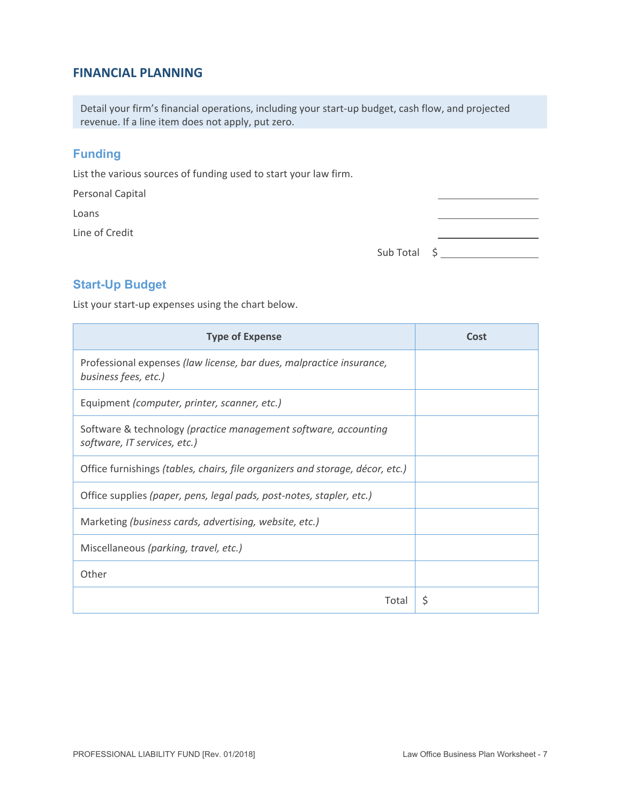## **FINANCIAL PLANNING**

Detail your firm's financial operations, including your start‐up budget, cash flow, and projected revenue. If a line item does not apply, put zero.

## **Funding**

List the various sources of funding used to start your law firm.

Personal Capital

Loans

Line of Credit

| Sub Total | . . |
|-----------|-----|
|-----------|-----|

## **Start-Up Budget**

List your start-up expenses using the chart below.

| <b>Type of Expense</b>                                                                          | Cost |
|-------------------------------------------------------------------------------------------------|------|
| Professional expenses (law license, bar dues, malpractice insurance,<br>business fees, etc.)    |      |
| Equipment (computer, printer, scanner, etc.)                                                    |      |
| Software & technology (practice management software, accounting<br>software, IT services, etc.) |      |
| Office furnishings (tables, chairs, file organizers and storage, décor, etc.)                   |      |
| Office supplies (paper, pens, legal pads, post-notes, stapler, etc.)                            |      |
| Marketing (business cards, advertising, website, etc.)                                          |      |
| Miscellaneous (parking, travel, etc.)                                                           |      |
| Other                                                                                           |      |
| Total                                                                                           | S    |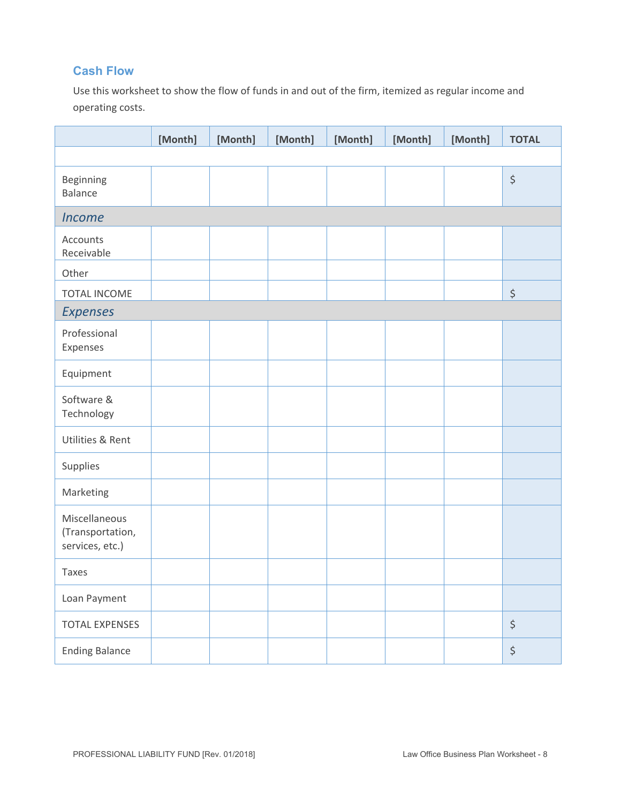## **Cash Flow**

Use this worksheet to show the flow of funds in and out of the firm, itemized as regular income and operating costs.

|                                                      | [Month] | [Month] | [Month] | [Month] | [Month] | [Month] | <b>TOTAL</b>         |
|------------------------------------------------------|---------|---------|---------|---------|---------|---------|----------------------|
|                                                      |         |         |         |         |         |         |                      |
| Beginning<br><b>Balance</b>                          |         |         |         |         |         |         | $\boldsymbol{\zeta}$ |
| <b>Income</b>                                        |         |         |         |         |         |         |                      |
| Accounts<br>Receivable                               |         |         |         |         |         |         |                      |
| Other                                                |         |         |         |         |         |         |                      |
| TOTAL INCOME                                         |         |         |         |         |         |         | \$                   |
| <b>Expenses</b>                                      |         |         |         |         |         |         |                      |
| Professional<br>Expenses                             |         |         |         |         |         |         |                      |
| Equipment                                            |         |         |         |         |         |         |                      |
| Software &<br>Technology                             |         |         |         |         |         |         |                      |
| Utilities & Rent                                     |         |         |         |         |         |         |                      |
| Supplies                                             |         |         |         |         |         |         |                      |
| Marketing                                            |         |         |         |         |         |         |                      |
| Miscellaneous<br>(Transportation,<br>services, etc.) |         |         |         |         |         |         |                      |
| Taxes                                                |         |         |         |         |         |         |                      |
| Loan Payment                                         |         |         |         |         |         |         |                      |
| <b>TOTAL EXPENSES</b>                                |         |         |         |         |         |         | $\boldsymbol{\zeta}$ |
| <b>Ending Balance</b>                                |         |         |         |         |         |         | $\boldsymbol{\zeta}$ |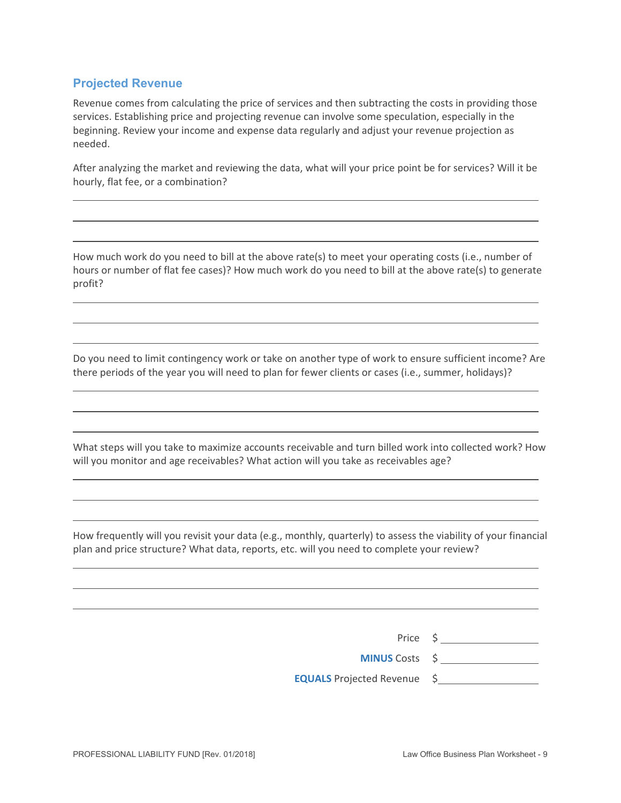## **Projected Revenue**

Revenue comes from calculating the price of services and then subtracting the costs in providing those services. Establishing price and projecting revenue can involve some speculation, especially in the beginning. Review your income and expense data regularly and adjust your revenue projection as needed.

After analyzing the market and reviewing the data, what will your price point be for services? Will it be hourly, flat fee, or a combination?

How much work do you need to bill at the above rate(s) to meet your operating costs (i.e., number of hours or number of flat fee cases)? How much work do you need to bill at the above rate(s) to generate profit?

Do you need to limit contingency work or take on another type of work to ensure sufficient income? Are there periods of the year you will need to plan for fewer clients or cases (i.e., summer, holidays)?

What steps will you take to maximize accounts receivable and turn billed work into collected work? How will you monitor and age receivables? What action will you take as receivables age?

How frequently will you revisit your data (e.g., monthly, quarterly) to assess the viability of your financial plan and price structure? What data, reports, etc. will you need to complete your review?

> Price \$ **MINUS** Costs \$ **EQUALS** Projected Revenue \$

 $\overline{a}$ 

 $\overline{a}$ 

 $\overline{a}$ 

 $\overline{a}$ 

 $\overline{a}$ 

 $\overline{a}$ 

 $\overline{a}$ 

 $\overline{a}$ 

 $\overline{a}$ 

 $\overline{a}$ 

 $\overline{a}$ 

 $\overline{a}$ 

 $\overline{a}$ 

 $\overline{a}$ 

 $\overline{a}$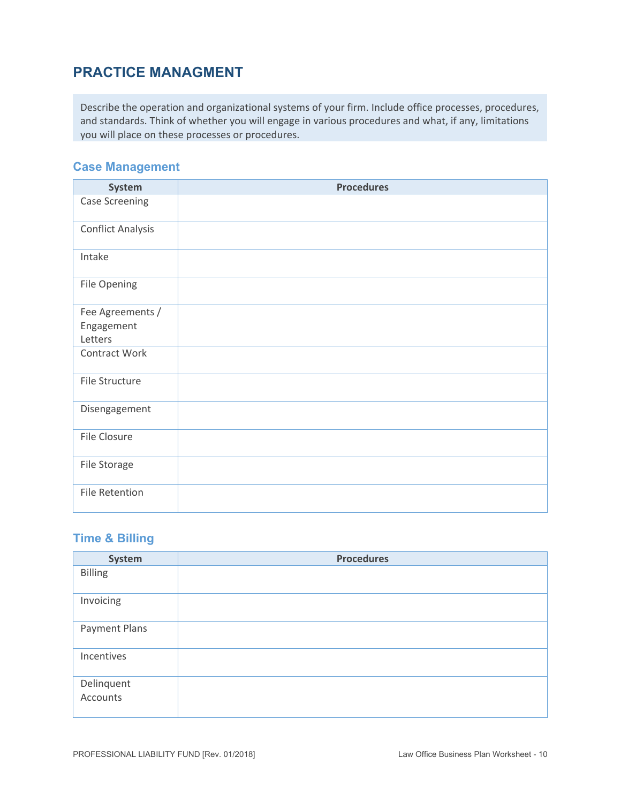# **PRACTICE MANAGMENT**

Describe the operation and organizational systems of your firm. Include office processes, procedures, and standards. Think of whether you will engage in various procedures and what, if any, limitations you will place on these processes or procedures.

## **Case Management**

| System                   | <b>Procedures</b> |
|--------------------------|-------------------|
| <b>Case Screening</b>    |                   |
| <b>Conflict Analysis</b> |                   |
| Intake                   |                   |
| File Opening             |                   |
| Fee Agreements /         |                   |
| Engagement               |                   |
| Letters                  |                   |
| Contract Work            |                   |
| File Structure           |                   |
| Disengagement            |                   |
| File Closure             |                   |
| File Storage             |                   |
| <b>File Retention</b>    |                   |

## **Time & Billing**

| System                 | <b>Procedures</b> |
|------------------------|-------------------|
| <b>Billing</b>         |                   |
| Invoicing              |                   |
| Payment Plans          |                   |
| Incentives             |                   |
| Delinquent<br>Accounts |                   |